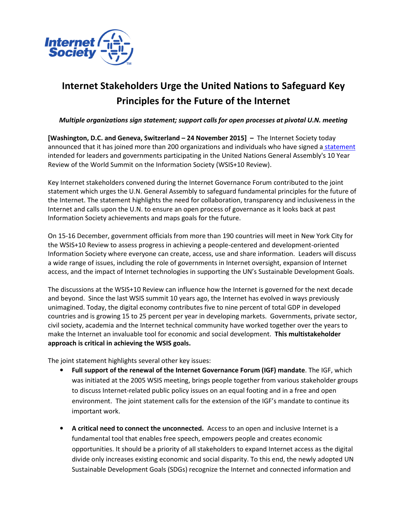

## Internet Stakeholders Urge the United Nations to Safeguard Key Principles for the Future of the Internet

## Multiple organizations sign statement; support calls for open processes at pivotal U.N. meeting

[Washington, D.C. and Geneva, Switzerland – 24 November 2015] – The Internet Society today announced that it has joined more than 200 organizations and individuals who have signed a statement intended for leaders and governments participating in the United Nations General Assembly's 10 Year Review of the World Summit on the Information Society (WSIS+10 Review).

Key Internet stakeholders convened during the Internet Governance Forum contributed to the joint statement which urges the U.N. General Assembly to safeguard fundamental principles for the future of the Internet. The statement highlights the need for collaboration, transparency and inclusiveness in the Internet and calls upon the U.N. to ensure an open process of governance as it looks back at past Information Society achievements and maps goals for the future.

On 15-16 December, government officials from more than 190 countries will meet in New York City for the WSIS+10 Review to assess progress in achieving a people-centered and development-oriented Information Society where everyone can create, access, use and share information. Leaders will discuss a wide range of issues, including the role of governments in Internet oversight, expansion of Internet access, and the impact of Internet technologies in supporting the UN's Sustainable Development Goals.

The discussions at the WSIS+10 Review can influence how the Internet is governed for the next decade and beyond. Since the last WSIS summit 10 years ago, the Internet has evolved in ways previously unimagined. Today, the digital economy contributes five to nine percent of total GDP in developed countries and is growing 15 to 25 percent per year in developing markets. Governments, private sector, civil society, academia and the Internet technical community have worked together over the years to make the Internet an invaluable tool for economic and social development. This multistakeholder approach is critical in achieving the WSIS goals.

The joint statement highlights several other key issues:

- Full support of the renewal of the Internet Governance Forum (IGF) mandate. The IGF, which was initiated at the 2005 WSIS meeting, brings people together from various stakeholder groups to discuss Internet-related public policy issues on an equal footing and in a free and open environment. The joint statement calls for the extension of the IGF's mandate to continue its important work.
- A critical need to connect the unconnected. Access to an open and inclusive Internet is a fundamental tool that enables free speech, empowers people and creates economic opportunities. It should be a priority of all stakeholders to expand Internet access as the digital divide only increases existing economic and social disparity. To this end, the newly adopted UN Sustainable Development Goals (SDGs) recognize the Internet and connected information and